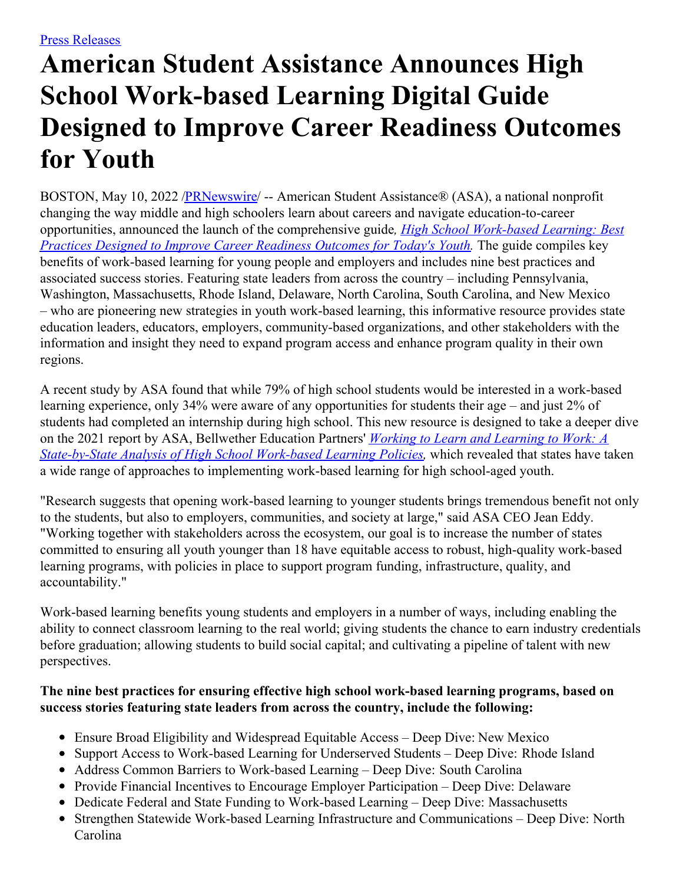## **American Student Assistance Announces High School Work-based Learning Digital Guide Designed to Improve Career Readiness Outcomes for Youth**

BOSTON, May 10, 2022 [/PRNewswire](http://www.prnewswire.com/)/ -- American Student Assistance® (ASA), a national nonprofit changing the way middle and high schoolers learn about careers and navigate education-to-career opportunities, announced the launch of the [comprehensive](https://c212.net/c/link/?t=0&l=en&o=3530784-1&h=2592189136&u=https%3A%2F%2Ffile.asa.org%2Fuploads%2FASA_WBLPlaybook_Final.pdf&a=High+School+Work-based+Learning%3A+Best+Practices+Designed+to+Improve+Career+Readiness+Outcomes+for+Today%27s+Youth) guide*, High School Work-based Learning: Best Practices Designed to Improve Career Readiness Outcomes for Today's Youth.* The guide compiles key benefits of work-based learning for young people and employers and includes nine best practices and associated success stories. Featuring state leaders from across the country – including Pennsylvania, Washington, Massachusetts, Rhode Island, Delaware, North Carolina, South Carolina, and New Mexico – who are pioneering new strategies in youth work-based learning, this informative resource provides state education leaders, educators, employers, community-based organizations, and other stakeholders with the information and insight they need to expand program access and enhance program quality in their own regions.

A recent study by ASA found that while 79% of high school students would be interested in a work-based learning experience, only 34% were aware of any opportunities for students their age – and just 2% of students had completed an internship during high school. This new resource is designed to take a deeper dive on the 2021 report by ASA, Bellwether Education Partners' *Working to Learn and Learning to Work: A [State-by-State](https://c212.net/c/link/?t=0&l=en&o=3530784-1&h=3214063941&u=https%3A%2F%2Fwww.asa.org%2Fresearch-study%2Fworking-to-learn-and-learning-to-work%2F&a=Working+to+Learn+and+Learning+to+Work%3A+A+State-by-State+Analysis+of+High+School+Work-based+Learning+Policies) Analysis of High School Work-based Learning Policies,* which revealed that states have taken a wide range of approaches to implementing work-based learning for high school-aged youth.

"Research suggests that opening work-based learning to younger students brings tremendous benefit not only to the students, but also to employers, communities, and society at large," said ASA CEO Jean Eddy. "Working together with stakeholders across the ecosystem, our goal is to increase the number of states committed to ensuring all youth younger than 18 have equitable access to robust, high-quality work-based learning programs, with policies in place to support program funding, infrastructure, quality, and accountability."

Work-based learning benefits young students and employers in a number of ways, including enabling the ability to connect classroom learning to the real world; giving students the chance to earn industry credentials before graduation; allowing students to build social capital; and cultivating a pipeline of talent with new perspectives.

## **The nine best practices for ensuring effective high school work-based learning programs, based on success stories featuring state leaders from across the country, include the following:**

- Ensure Broad Eligibility and Widespread Equitable Access Deep Dive: New Mexico
- Support Access to Work-based Learning for Underserved Students Deep Dive: Rhode Island
- Address Common Barriers to Work-based Learning Deep Dive: South Carolina
- Provide Financial Incentives to Encourage Employer Participation Deep Dive: Delaware
- Dedicate Federal and State Funding to Work-based Learning Deep Dive: Massachusetts
- Strengthen Statewide Work-based Learning Infrastructure and Communications Deep Dive: North Carolina